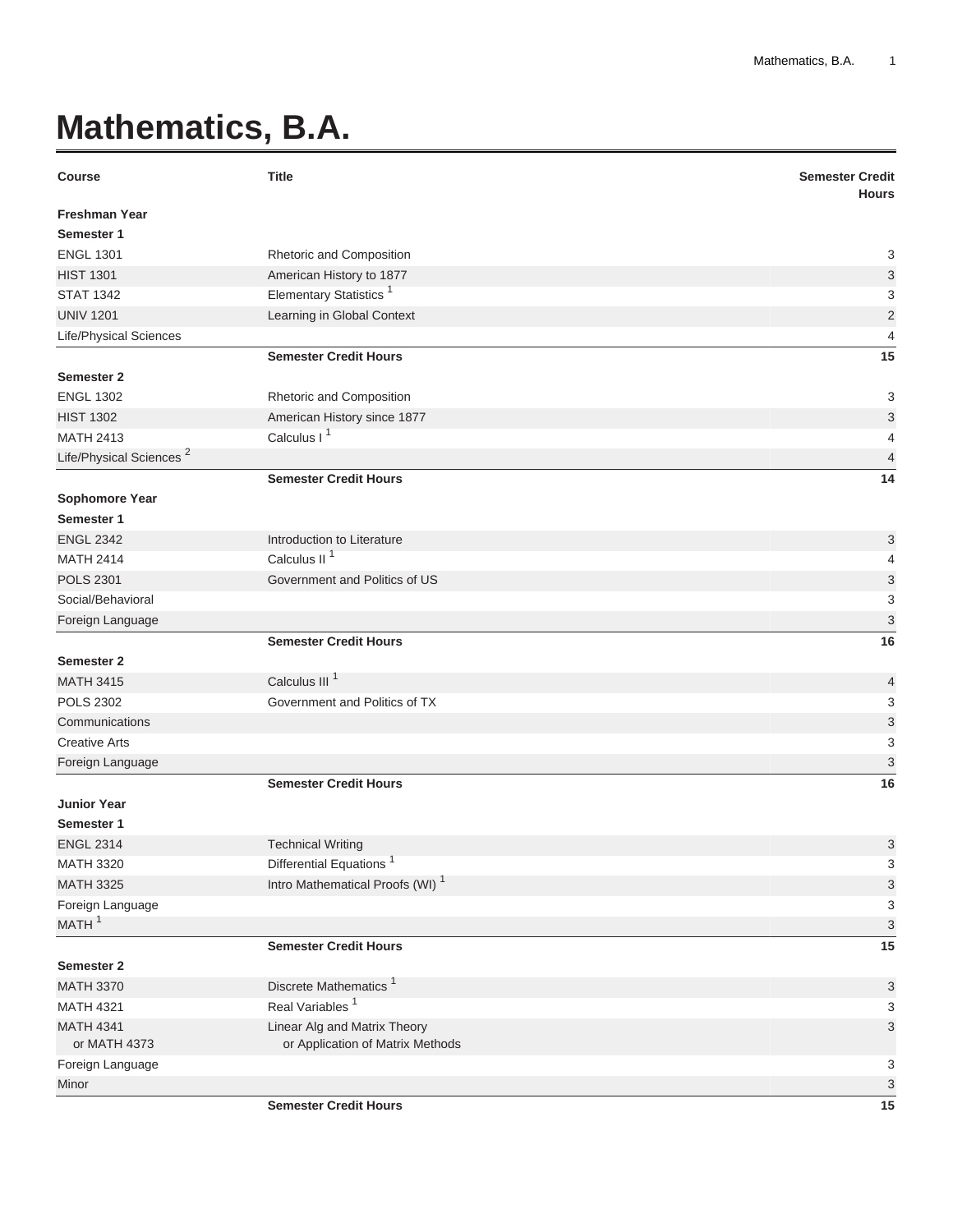## **Mathematics, B.A.**

| <b>Course</b>                          | <b>Title</b>                                              | <b>Semester Credit</b><br><b>Hours</b> |
|----------------------------------------|-----------------------------------------------------------|----------------------------------------|
| <b>Freshman Year</b>                   |                                                           |                                        |
| Semester 1                             |                                                           |                                        |
| <b>ENGL 1301</b>                       | Rhetoric and Composition                                  | 3                                      |
| <b>HIST 1301</b>                       | American History to 1877                                  | 3                                      |
| <b>STAT 1342</b>                       | Elementary Statistics <sup>1</sup>                        | 3                                      |
| <b>UNIV 1201</b>                       | Learning in Global Context                                | $\overline{2}$                         |
| Life/Physical Sciences                 |                                                           | $\overline{4}$                         |
|                                        | <b>Semester Credit Hours</b>                              | 15                                     |
| <b>Semester 2</b>                      |                                                           |                                        |
| <b>ENGL 1302</b>                       | Rhetoric and Composition                                  | 3                                      |
| <b>HIST 1302</b>                       | American History since 1877                               | $\ensuremath{\mathsf{3}}$              |
| <b>MATH 2413</b>                       | Calculus I <sup>1</sup>                                   | 4                                      |
| Life/Physical Sciences <sup>2</sup>    |                                                           | $\overline{4}$                         |
|                                        | <b>Semester Credit Hours</b>                              | 14                                     |
| <b>Sophomore Year</b>                  |                                                           |                                        |
| Semester 1                             |                                                           |                                        |
| <b>ENGL 2342</b>                       | Introduction to Literature                                | 3                                      |
| <b>MATH 2414</b>                       | Calculus II <sup>1</sup>                                  | 4                                      |
| <b>POLS 2301</b>                       | Government and Politics of US                             | 3                                      |
| Social/Behavioral                      |                                                           | 3                                      |
| Foreign Language                       |                                                           | 3                                      |
|                                        | <b>Semester Credit Hours</b>                              | 16                                     |
| <b>Semester 2</b>                      | Calculus III <sup>1</sup>                                 |                                        |
| <b>MATH 3415</b>                       |                                                           | 4                                      |
| <b>POLS 2302</b>                       | Government and Politics of TX                             | 3                                      |
| Communications<br><b>Creative Arts</b> |                                                           | $\ensuremath{\mathsf{3}}$              |
|                                        |                                                           | 3                                      |
| Foreign Language                       | <b>Semester Credit Hours</b>                              | $\ensuremath{\mathsf{3}}$<br>16        |
| <b>Junior Year</b>                     |                                                           |                                        |
| Semester 1                             |                                                           |                                        |
| <b>ENGL 2314</b>                       |                                                           | 3                                      |
| <b>MATH 3320</b>                       | <b>Technical Writing</b><br><b>Differential Equations</b> | 3                                      |
| <b>MATH 3325</b>                       | Intro Mathematical Proofs (WI) <sup>1</sup>               | 3                                      |
| Foreign Language                       |                                                           | 3                                      |
| MATH <sup>1</sup>                      |                                                           | 3                                      |
|                                        | <b>Semester Credit Hours</b>                              | 15                                     |
| <b>Semester 2</b>                      |                                                           |                                        |
| <b>MATH 3370</b>                       | Discrete Mathematics <sup>1</sup>                         | 3                                      |
| <b>MATH 4321</b>                       | Real Variables <sup>1</sup>                               | 3                                      |
| <b>MATH 4341</b>                       | Linear Alg and Matrix Theory                              | $\ensuremath{\mathsf{3}}$              |
| or MATH 4373                           | or Application of Matrix Methods                          |                                        |
| Foreign Language                       |                                                           | 3                                      |
| Minor                                  |                                                           | 3                                      |
|                                        | <b>Semester Credit Hours</b>                              | 15                                     |